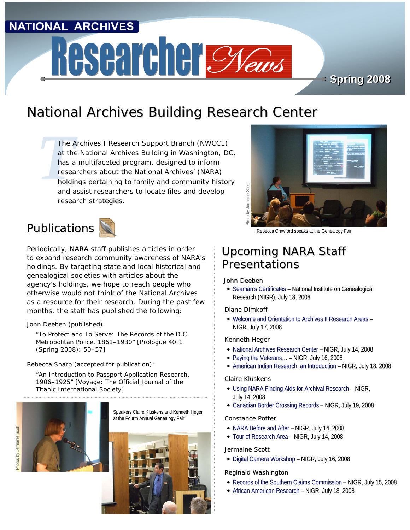### **NATIONAL ARCHIVES**

# Researcher Cyaus

**Spring 2008 Spring 2008**

# National Archives Building Research Center

The A<br>
at the<br>
has a<br>
resea<br>
holdin<br>
and a *The Archives I Research Support Branch (NWCC1) at the National Archives Building in Washington, DC, has a multifaceted program, designed to inform researchers about the National Archives' (NARA) holdings pertaining to family and community history and assist researchers to locate files and develop research strategies.*





Periodically, NARA staff publishes articles in order to expand research community awareness of NARA's holdings. By targeting state and local historical and genealogical societies with articles about the agency's holdings, we hope to reach people who otherwise would not think of the National Archives as a resource for their research. During the past few months, the staff has published the following:

John Deeben (published):

"To Protect and To Serve: The Records of the D.C. Metropolitan Police, 1861–1930" [*Prologue* 40:1 (Spring 2008): 50–57]

Rebecca Sharp (accepted for publication):

"An Introduction to Passport Application Research, 1906–1925" [*Voyage*: *The Official Journal of the Titanic International Society*]







Rebecca Crawford speaks at the Genealogy Fair

### Upcoming NARA Staff Presentations

#### John Deeben

Photo by Jermaine Scott

• Seaman's Certificates – National Institute on Genealogical Research (NIGR), July 18, 2008

Diane Dimkoff

• Welcome and Orientation to Archives II Research Areas – NIGR, July 17, 2008

Kenneth Heger

- National Archives Research Center NIGR, July 14, 2008
- y Paying the Veterans… NIGR, July 16, 2008
- American Indian Research: an Introduction NIGR, July 18, 2008

Claire Kluskens

- $\bullet$  Using NARA Finding Aids for Archival Research NIGR, July 14, 2008
- Canadian Border Crossing Records NIGR, July 19, 2008

Constance Potter

- $\bullet$  NARA Before and After NIGR, July 14, 2008
- Tour of Research Area NIGR, July 14, 2008

Jermaine Scott

• Digital Camera Workshop – NIGR, July 16, 2008

Reginald Washington

- Records of the Southern Claims Commission NIGR, July 15, 2008
- African American Research NIGR, July 18, 2008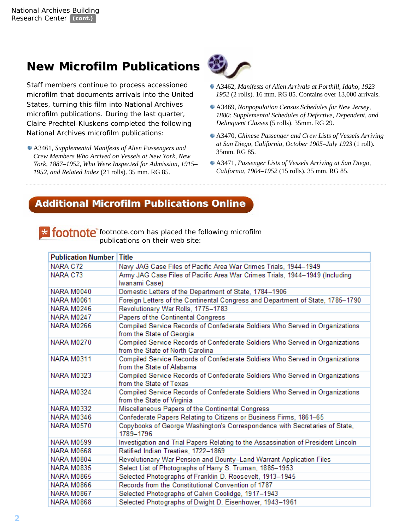# **New Microfilm Publications**

Staff members continue to process accessioned microfilm that documents arrivals into the United States, turning this film into National Archives microfilm publications. During the last quarter, Claire Prechtel-Kluskens completed the following

A3461, *Supplemental Manifests of Alien Passengers and Crew Members Who Arrived on Vessels at New York, New York, 1887–1952, Who Were Inspected for Admission, 1915– 1952, and Related Index* (21 rolls). 35 mm. RG 85.



- A3462, *Manifests of Alien Arrivals at Porthill, Idaho, 1923– 1952* (2 rolls). 16 mm. RG 85. Contains over 13,000 arrivals.
- A3469, *Nonpopulation Census Schedules for New Jersey, 1880: Supplemental Schedules of Defective, Dependent, and Delinquent Classes* (5 rolls). 35mm. RG 29.
- National Archives microfilm publications:<br>A3470, *Chinese Passenger and Crew Lists of Vessels Arriving at San Diego, California, October 1905–July 1923* (1 roll). 35mm. RG 85.
	- A3471, *Passenger Lists of Vessels Arriving at San Diego, California, 1904–1952* (15 rolls). 35 mm. RG 85.

### **Additional Microfilm Publications Online Additional Microfilm Publications Online**

**X footnote** footnote.com has placed the following microfilm publications on their web site:

| <b>Publication Number</b> | <b>Title</b>                                                                                                     |
|---------------------------|------------------------------------------------------------------------------------------------------------------|
| NARA C72                  | Navy JAG Case Files of Pacific Area War Crimes Trials, 1944-1949                                                 |
| NARA C73                  | Army JAG Case Files of Pacific Area War Crimes Trials, 1944–1949 (Including                                      |
|                           | Iwanami Case)                                                                                                    |
| <b>NARA M0040</b>         | Domestic Letters of the Department of State, 1784-1906                                                           |
| <b>NARA M0061</b>         | Foreign Letters of the Continental Congress and Department of State, 1785-1790                                   |
| NARA M0246                | Revolutionary War Rolls, 1775-1783                                                                               |
| NARA M0247                | Papers of the Continental Congress                                                                               |
| NARA M0266                | Compiled Service Records of Confederate Soldiers Who Served in Organizations<br>from the State of Georgia        |
| NARA M0270                | Compiled Service Records of Confederate Soldiers Who Served in Organizations<br>from the State of North Carolina |
| NARA M0311                | Compiled Service Records of Confederate Soldiers Who Served in Organizations<br>from the State of Alabama        |
| <b>NARA M0323</b>         | Compiled Service Records of Confederate Soldiers Who Served in Organizations<br>from the State of Texas          |
| NARA M0324                | Compiled Service Records of Confederate Soldiers Who Served in Organizations<br>from the State of Virginia       |
| <b>NARA M0332</b>         | Miscellaneous Papers of the Continental Congress                                                                 |
| <b>NARA M0346</b>         | Confederate Papers Relating to Citizens or Business Firms, 1861-65                                               |
| NARA M0570                | Copybooks of George Washington's Correspondence with Secretaries of State,<br>1789-1796                          |
| NARA M0599                | Investigation and Trial Papers Relating to the Assassination of President Lincoln                                |
| <b>NARA M0668</b>         | Ratified Indian Treaties, 1722-1869                                                                              |
| NARA M0804                | Revolutionary War Pension and Bounty-Land Warrant Application Files                                              |
| NARA M0835                | Select List of Photographs of Harry S. Truman, 1885-1953                                                         |
| <b>NARA M0865</b>         | Selected Photographs of Franklin D. Roosevelt, 1913-1945                                                         |
| NARA M0866                | Records from the Constitutional Convention of 1787                                                               |
| NARA M0867                | Selected Photographs of Calvin Coolidge, 1917-1943                                                               |
| NARA M0868                | Selected Photographs of Dwight D. Eisenhower, 1943-1961                                                          |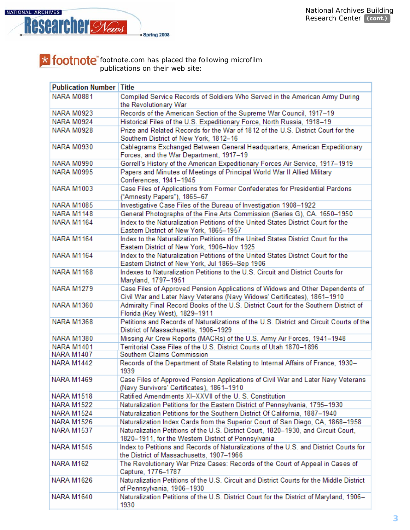

footnote.com has placed the following microfilm publications on their web site:

| <b>Publication Number</b> | Title                                                                                                                                                     |
|---------------------------|-----------------------------------------------------------------------------------------------------------------------------------------------------------|
| <b>NARA M0881</b>         | Compiled Service Records of Soldiers Who Served in the American Army During<br>the Revolutionary War                                                      |
| <b>NARA M0923</b>         | Records of the American Section of the Supreme War Council, 1917-19                                                                                       |
| NARA M0924                | Historical Files of the U.S. Expeditionary Force, North Russia, 1918-19                                                                                   |
| NARA M0928                | Prize and Related Records for the War of 1812 of the U.S. District Court for the<br>Southern District of New York, 1812-16                                |
| <b>NARA M0930</b>         | Cablegrams Exchanged Between General Headquarters, American Expeditionary<br>Forces, and the War Department, 1917-19                                      |
| <b>NARA M0990</b>         | Gorrell's History of the American Expeditionary Forces Air Service, 1917-1919                                                                             |
| NARA M0995                | Papers and Minutes of Meetings of Principal World War II Allied Military<br>Conferences, 1941-1945                                                        |
| <b>NARA M1003</b>         | Case Files of Applications from Former Confederates for Presidential Pardons<br>("Amnesty Papers"), 1865-67                                               |
| <b>NARA M1085</b>         | Investigative Case Files of the Bureau of Investigation 1908-1922                                                                                         |
| <b>NARA M1148</b>         | General Photographs of the Fine Arts Commission (Series G), CA. 1650-1950                                                                                 |
| <b>NARA M1164</b>         | Index to the Naturalization Petitions of the United States District Court for the<br>Eastern District of New York, 1865-1957                              |
| <b>NARA M1164</b>         | Index to the Naturalization Petitions of the United States District Court for the<br>Eastern District of New York, 1906-Nov 1925                          |
| <b>NARA M1164</b>         | Index to the Naturalization Petitions of the United States District Court for the<br>Eastern District of New York, Jul 1865-Sep 1906                      |
| <b>NARA M1168</b>         | Indexes to Naturalization Petitions to the U.S. Circuit and District Courts for<br>Maryland, 1797-1951                                                    |
| <b>NARA M1279</b>         | Case Files of Approved Pension Applications of Widows and Other Dependents of<br>Civil War and Later Navy Veterans (Navy Widows' Certificates), 1861-1910 |
| <b>NARA M1360</b>         | Admiralty Final Record Books of the U.S. District Court for the Southern District of<br>Florida (Key West), 1829-1911                                     |
| <b>NARA M1368</b>         | Petitions and Records of Naturalizations of the U.S. District and Circuit Courts of the<br>District of Massachusetts, 1906-1929                           |
| <b>NARA M1380</b>         | Missing Air Crew Reports (MACRs) of the U.S. Army Air Forces, 1941-1948                                                                                   |
| <b>NARA M1401</b>         | Territorial Case Files of the U.S. District Courts of Utah 1870-1896                                                                                      |
| <b>NARA M1407</b>         | Southern Claims Commission                                                                                                                                |
| <b>NARA M1442</b>         | Records of the Department of State Relating to Internal Affairs of France, 1930-<br>1939                                                                  |
| <b>NARA M1469</b>         | Case Files of Approved Pension Applications of Civil War and Later Navy Veterans<br>(Navy Survivors' Certificates), 1861-1910                             |
| <b>NARA M1518</b>         | Ratified Amendments XI-XXVII of the U.S. Constitution                                                                                                     |
| <b>NARA M1522</b>         | Naturalization Petitions for the Eastern District of Pennsylvania, 1795-1930                                                                              |
| <b>NARA M1524</b>         | Naturalization Petitions for the Southern District Of California, 1887-1940                                                                               |
| NARA M1526                | Naturalization Index Cards from the Superior Court of San Diego, CA, 1868-1958                                                                            |
| <b>NARA M1537</b>         | Naturalization Petitions of the U.S. District Court, 1820-1930, and Circuit Court,<br>1820-1911, for the Western District of Pennsylvania                 |
| <b>NARA M1545</b>         | Index to Petitions and Records of Naturalizations of the U.S. and District Courts for<br>the District of Massachusetts, 1907-1966                         |
| NARA M162                 | The Revolutionary War Prize Cases: Records of the Court of Appeal in Cases of<br>Capture, 1776-1787                                                       |
| <b>NARA M1626</b>         | Naturalization Petitions of the U.S. Circuit and District Courts for the Middle District<br>of Pennsylvania, 1906-1930                                    |
| <b>NARA M1640</b>         | Naturalization Petitions of the U.S. District Court for the District of Maryland, 1906-<br>1930                                                           |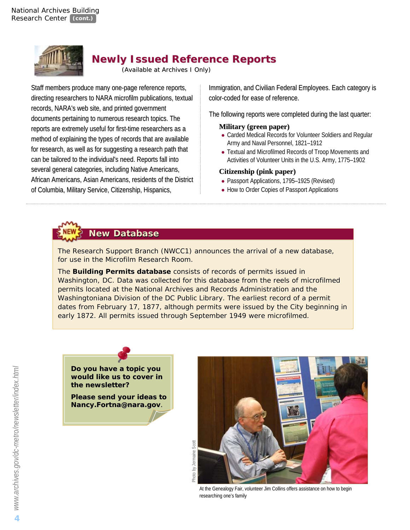

### **Newly Issued Newly Issued Reference Reference Reports**

*(Available at Archives I Only)* 

Staff members produce many one-page reference reports, directing researchers to NARA microfilm publications, textual records, NARA's web site, and printed government documents pertaining to numerous research topics. The reports are extremely useful for first-time researchers as a method of explaining the types of records that are available for research, as well as for suggesting a research path that can be tailored to the individual's need. Reports fall into several general categories, including Native Americans, African Americans, Asian Americans, residents of the District of Columbia, Military Service, Citizenship, Hispanics,

Immigration, and Civilian Federal Employees. Each category is color-coded for ease of reference.

The following reports were completed during the last quarter:

#### **Military (green paper) (green paper)**

- Carded Medical Records for Volunteer Soldiers and Regular Army and Naval Personnel, 1821–1912
- Textual and Microfilmed Records of Troop Movements and Activities of Volunteer Units in the U.S. Army, 1775–1902

#### **Citizenship (pink paper)**

- Passport Applications, 1795-1925 (Revised)
- How to Order Copies of Passport Applications

# **New Database**

The Research Support Branch (NWCC1) announces the arrival of a new database, *for use in the Microfilm Research Room.* 

The **Building Permits database** consists of records of permits issued in Washington, DC. Data was collected for this database from the reels of microfilmed permits located at the National Archives and Records Administration and the Washingtoniana Division of the DC Public Library. The earliest record of a permit dates from February 17, 1877, although permits were issued by the City beginning in dates from February 17, 1877, although permits were issued by the City beginning in early 1872. All permits issued through September 1949 were microfilmed.



**Please send your ideas to to**  *Nancy.Fortna@nara.gov*. .

Photo by Jermaine Scott



At the Genealogy Fair, volunteer Jim Collins offers assistance on how to begin researching one's family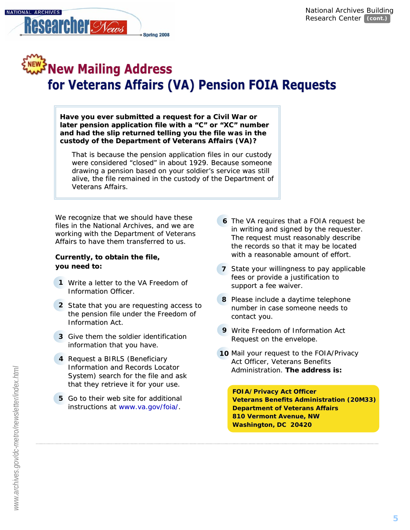

# **WENEW Mailing Address** for Veterans Affairs (VA) Pension FOIA Requests

Have you ever submitted a request for a Civil War or later pension application file with a "C" or "XC" number and had the slip returned telling you the file was in the **custody of the Department of Veterans Affairs (VA)?**

That is because the pension application files in our custody were considered "closed" in about 1929. Because someone drawing a pension based on your soldier's service was still alive, the file remained in the custody of the Department of Veterans Affairs.

We recognize that we should have these files in the National Archives, and we are working with the Department of Veterans Affairs to have them transferred to us.

#### **Currently, to obtain the file, you need to:**

- 1 Write a letter to the VA Freedom of Information Officer.
- 2 State that you are requesting access to the pension file under the Freedom of Information Act.
- **3** Give them the soldier identification information that you have.
- 4 Request a BIRLS (Beneficiary Information and Records Locator System) search for the file and ask that they retrieve it for your use.
- 5 Go to their web site for additional instructions at www.va.gov/foia/.
- 6 The VA requires that a FOIA request be in writing and signed by the requester. The request must reasonably describe the records so that it may be located with a reasonable amount of effort.
- **7** State your willingness to pay applicable fees or provide a justification to support a fee waiver.
- 8 Please include a daytime telephone number in case someone needs to contact you.
- **9** Write Freedom of Information Act Request on the envelope.

**Washington, DC 20420** 

10 Mail your request to the FOIA/Privacy Act Officer, Veterans Benefits Administration. The address is:

#### **FOIA/Privacy Act Officer rivacy Act Officer Veterans Benefits Administration (20M33) Department of Veterans Affairs 810 Vermont Avenue, NW**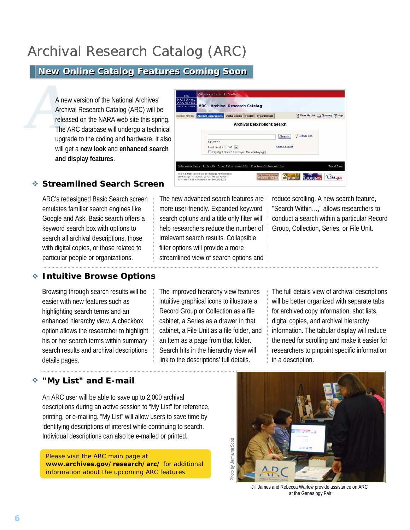# Archival Research Catalog (ARC)

### **New On New Online Catalog Features Coming Soon line Catalog Features Coming Soon**

A new version of the National Archives'<br>Archival Research Catalog (ARC) will be<br>released on the NARA web site this spri<br>The ARC database will undergo a techn<br>ungrade to the coding and hardware. It Archival Research Catalog (ARC) will be released on the NARA web site this spring. The ARC database will undergo a technical upgrade to the coding and hardware. It also will get a **new look** and **enhanced search and display features**.

| Search ARC for | <b>Archival Descriptions</b>              |                                              | Digital Copies People Organizations |                                  | Mew My List (3) Glossary 7 Help |  |
|----------------|-------------------------------------------|----------------------------------------------|-------------------------------------|----------------------------------|---------------------------------|--|
|                |                                           |                                              | <b>Archival Descriptions Search</b> |                                  |                                 |  |
|                | e.o Civil War<br>Limit results to 100 [M] | Highlight Search Terms (on the results page) |                                     | Search<br><b>Advanced Search</b> | <b>Search Tips</b><br>V         |  |
|                |                                           |                                              |                                     |                                  |                                 |  |

### **Streamlined Search Streamlined Search Screen**

ARC's redesigned Basic Search screen emulates familiar search engines like Google and Ask. Basic search offers a keyword search box with options to search all archival descriptions, those with digital copies, or those related to particular people or organizations.

The new advanced search features are more user-friendly. Expanded keyword search options and a title only filter will help researchers reduce the number of irrelevant search results. Collapsible filter options will provide a more streamlined view of search options and reduce scrolling. A new search feature, "Search Within…," allows researchers to conduct a search within a particular Record Group, Collection, Series, or File Unit.

#### **Intuitive Browse Options**

Browsing through search results will be easier with new features such as highlighting search terms and an enhanced hierarchy view. A checkbox option allows the researcher to highlight his or her search terms within summary search results and archival descriptions details pages.

The improved hierarchy view features intuitive graphical icons to illustrate a Record Group or Collection as a file cabinet, a Series as a drawer in that cabinet, a File Unit as a file folder, and an Item as a page from that folder. Search hits in the hierarchy view will link to the descriptions' full details.

The full details view of archival descriptions will be better organized with separate tabs for archived copy information, shot lists, digital copies, and archival hierarchy information. The tabular display will reduce the need for scrolling and make it easier for researchers to pinpoint specific information in a description.

#### **"My List" and E-mail** ÷

An ARC user will be able to save up to 2,000 archival descriptions during an active session to "My List" for reference, printing, or e-mailing. "My List" will allow users to save time by identifying descriptions of interest while continuing to search. Individual descriptions can also be e-mailed or printed.

Please visit the ARC main page at *www.archives.gov/research/arc/* for additional information about the upcoming ARC features.



Jill James and Rebecca Warlow provide assistance on ARC at the Genealogy Fair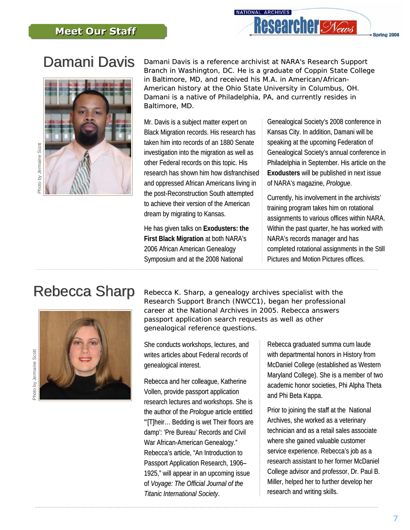

# Damani Davis



*Damani Davis is a reference archivist at NARA's Research Support Branch in Washingt Branch in Washington, DC. He is a graduate of Coppin State College in Baltimore, MD, and received his M.A. in American/African-*American history at the Ohio State University in Columbus, OH. *Damani is a native of Philadelphia, PA, and currently resides in Baltimore, MD.*

Mr. Davis is a subject matter expert on Black Migration records. His research has taken him into records of an 1880 Senate investigation into the migration as well as other Federal records on this topic. His research has shown him how disfranchised and oppressed African Americans living in the post-Reconstruction South attempted to achieve their version of the American dream by migrating to Kansas.

He has given talks on **Exodusters: the First Black Migration** at both NARA's 2006 African American Genealogy Symposium and at the 2008 National

Genealogical Society's 2008 conference in Kansas City. In addition, Damani will be speaking at the upcoming Federation of Genealogical Society's annual conference in Philadelphia in September. His article on the **Exodusters** will be published in next issue of NARA's magazine, *Prologue*.

Currently, his involvement in the archivists' training program takes him on rotational assignments to various offices within NARA. Within the past quarter, he has worked with NARA's records manager and has completed rotational assignments in the Still Pictures and Motion Pictures offices.

# Rebecca Sharp



*Rebecca K. Sharp, a genealogy archives specialist with the Research Support Branch (NWCC1), began her professional career at the National Archives in 2005. Rebecca answers passport application search requests as well as other t requests as well as other genealogical reference questions.* 

She conducts workshops, lectures, and writes articles about Federal records of genealogical interest.

Rebecca and her colleague, Katherine Vollen, provide passport application research lectures and workshops. She is the author of the *Prologue* article entitled "'[T]heir... Bedding is wet Their floors are damp': 'Pre Bureau' Records and Civil War African-American Genealogy." Rebecca's article, "An Introduction to Passport Application Research, 1906-1925," will appear in an upcoming issue of *Voyage: The Official Journal of the Titanic Internationa International Society l Society*.

Rebecca graduated summa cum laude with departmental honors in History from McDaniel College (established as Western Maryland College). She is a member of two academic honor societies, Phi Alpha Theta and Phi Beta Kappa.

Prior to joining the staff at the National Archives, she worked as a veterinary technician and as a retail sales associate where she gained valuable customer service experience. Rebecca's job as a research assistant to her former McDaniel College advisor and professor, Dr. Paul B. Miller, helped her to further develop her research and writing skills.

Photo by Jermaine Scott Photo by Jermaine Scott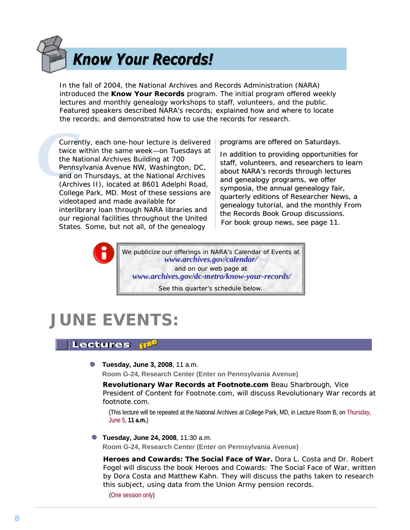# **Know Your Records!**

In the fall of 2004, the National Archives and Records Administration (NARA) introduced the **Know Your Records** program. The initial program offered weekly lectures and monthly genealogy workshops to staff, volunteers, and the public. Featured speakers described NARA's records; explained how and where to locate the records; and demonstrated how to use the records for research.

**Currel**<br>twice<br>the Na<br>Penns<br>and ol<br>(Archi Currently, each one-hour lecture is delivered twice within the same week-on Tuesdays at the National Archives Building at 700 Pennsylvania Avenue NW, Washington, DC, and on Thursdays, at the National Archives (Archives II), located at 8601 Adelphi Road, College Park, MD. Most of these sessions are videotaped and made available for interlibrary loan through NARA libraries and our regional facilities throughout the United States. Some, but not all, of the genealogy

programs are offered on Saturdays.

In addition to providing opportunities for staff, volunteers, and researchers to learn about NARA's records through lectures and genealogy programs, we offer and genealogy programs, we offer<br>symposia, the annual genealogy fair, quarterly editions of *Researcher News*, a quarterly editions of rly *Researcher News*, a genealogy tutorial, and the monthly *From*  genealogy tutorial, and the monthly nealogy tutorial, and the monthly *From the Records Book Group* discussions. For book group news, see page 11.

We publicize our offerings in NARA's *Calendar of Events* at *www.archives.gov/cal [www.archives.gov/calendar/](http://www.archives.gov/calendar/)* and on our web page at *www.archives.gov/dc [www.archives.gov/dc-metro/know-your-records/](http://www.archives.gov/dc-metro/know-your-records/) records/* See this quarter's schedule below.

# **JUNE EVENTS:**

### Lectures **118<sup>5</sup>**

**Tuesday, June 3, 2008**, 11 a.m.

**Room G-24, Research Center (Enter on Pennsylvania Avenue)**

**Revolutionary War Records at Footnote.com Beau Sharbrough, Vice** President of Content for Footnote.com, will discuss Revolutionary War records at *footnote.com*.

(This lecture will be repeated at the National Archives at College Park, MD, in Lecture Room B, on Thursday, June 5, **11 a.m.**)

**Tuesday, June 24, 2008**, 11:30 a.m.

**Room G-24, Research Center (Enter on Pennsylvania Avenue)**

**Heroes and Cowards: The Social Face of War.** Dora L. Costa and Dr. Robert Fogel will discuss the book *Heroes and Cowards: The Social Face of War*, written by Dora Costa and Matthew Kahn. They will discuss the paths taken to research this subject, using data from the Union Army pension records.

(One session only)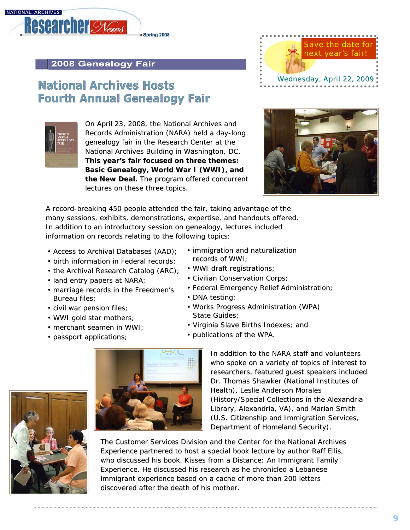

### **2008 Genealogy Fair**

## **National Archives Hosts Fourth Annual Genealogy Fair**



On April 23, 2008, the National Archives and Records Administration (NARA) held a day-long genealogy fair in the Research Center at the National Archives Building in Washington, DC. This year's fair focused on three themes: Basic Genealogy, World War I (WWI), and the New Deal. The program offered concurrent lectures on these three topics.





A record-breaking 450 people attended the fair, taking advantage of the many sessions, exhibits, demonstrations, expertise, and handouts offered. In addition to an introductory session on genealogy, lectures included information on records relating to the following topics:

- Access to Archival Databases (AAD);
- birth information in Federal records;
- $\cdot$  the Archival Research Catalog (ARC);
- land entry papers at NARA;
- marriage records in the Freedmen's Bureau files;
- civil war pension files;
- •WWI gold star mothers;
- $\cdot$  merchant seamen in WWI;
- passport applications;
- immigration and naturalization records of WWI:
- WWI draft registrations;
- Civilian Conservation Corps;
- Federal Emergency Relief Administration;
- •DNA testing;
- Works Progress Administration (WPA) State Guides;
- Virginia Slave Births Indexes; and
- publications of the WPA.





In addition to the NARA staff and volunteers who spoke on a variety of topics of interest to researchers, featured guest speakers included Dr. Thomas Shawker (National Institutes of Health), Leslie Anderson Morales (History/Special Collections in the Alexandria Library, Alexandria, VA), and Marian Smith (U.S. Citizenship and Immigration Services, Department of Homeland Security).

The Customer Services Division and the Center for the National Archives Experience partnered to host a special book lecture by author Raff Ellis, who discussed his book, *Kisses from a Distance: An Immigrant Family Experience*. He discussed his research as he chronicled a Lebanese immigrant experience based on a cache of more than 200 letters discovered after the death of his mother.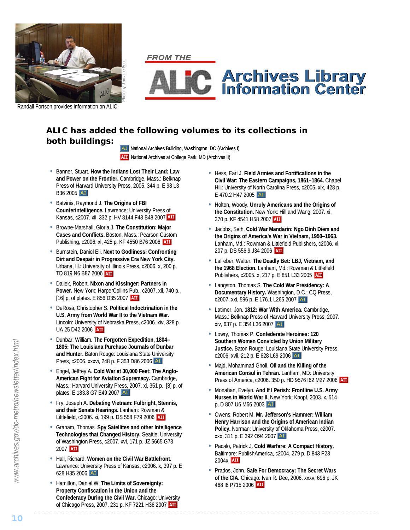

**FROM THE** 



Randall Fortson provides information on ALIC

### **ALIC has added the following volumes to its collections in both buildings:**

AI National Archives Building, Washington, DC (Archives I) **AII** National Archives at College Park, MD (Archives II)

- Banner, Stuart. How the Indians Lost Their Land: Law and Power on the Frontier. Cambridge, Mass.: Belknap Press of Harvard University Press, 2005. 344 p. E 98 L3 B36 2005 AI
- Batvinis, Raymond J. The Origins of FBI **Counterintelligence.** Lawrence: University Press of Kansas, c2007. xii, 332 p. HV 8144 F43 B48 2007
- **Browne-Marshall, Gloria J. The Constitution: Major Cases and Conflicts. Boston, Mass.: Pearson Custom** Publishing, c2006. xl, 425 p. KF 4550 B76 2006 AII
- **Burnstein, Daniel Eli. Next to Godliness: Confronting Dirt and Despair in Progressive Era New York City.** Urbana, Ill.: University of Illinois Press, c2006. x, 200 p. TD 819 N6 B87 2006
- **Dallek, Robert. Nixon and Kissinger: Partners in** Power. New York: HarperCollins Pub., c2007. xii, 740 p., [16] p. of plates. E 856 D35 2007 **AII**
- DeRosa, Christopher S. Political Indoctrination in the **U.S. Army from World War II to the Vietnam War.** Lincoln: University of Nebraska Press, c2006. xiv, 328 p. UA 25 D42 2006 AIL
- •Dunbar, William. Dunbar, William. **The Forgott Forgotten Expedition, 1804–** 1805: The Louisiana Purchase Journals of Dunbar and Hunter. Baton Rouge: Louisiana State University Press, c2006. xxxvi, 248 p. F 353 D86 2006 AI
- Engel, Jeffrey A. Cold War at 30,000 Feet: The Anglo-**American Fight for Aviation Supremacy. Cambridge,** Mass.: Harvard University Press, 2007. xi, 351 p., [8] p. of plates. E 183.8 G7 E49 2007
- Fry, Joseph A. Debating Vietnam: Fulbright, Stennis, **and their Senate Hearings. Lanham: Rowman &** Littlefield, c2006. xi, 199 p. DS 558 F79 2006 AII
- Graham, Thomas. Spy Satellites and other Intelligence Technologies that Changed History. Seattle: University of Washington Press, c2007. xvi, 171 p. JZ 5665 G73 2007 **AII**
- $\cdot$  Hall, Richard. Women on the Civil War Battlefront. Lawrence: University Press of Kansas, c2006. x, 397 p. E 628 H35 2006
- Hamilton, Daniel W. The Limits of Sovereignty: **Property Confiscation in the Union and the Confederacy During the Civil War. Chicago: University** of Chicago Press, 2007. 231 p. KF 7221 H36 2007
- Hess, Earl J. Field Armies and Fortifications in the **Civil War: The Eastern Campaigns, 1861–1864.**Chapel Hill: University of North Carolina Press, c2005. xix, 428 p. E 470.2 H47 2005 AT
- Holton, Woody. Unruly Americans and the Origins of the Constitution. New York: Hill and Wang, 2007. xi, 370 p. KF 4541 H58 2007
- Jacobs, Seth. Cold War Mandarin: Ngo Dinh Diem and **the Origins of America's War in Vietnam, 1950–1963.** Lanham, Md.: Rowman & Littlefield Publishers, c2006. xi, 207 p. DS 556.9 J34 2006 **AII**
- LaFeber, Walter. The Deadly Bet: LBJ, Vietnam, and the 1968 Election. Lanham, Md.: Rowman & Littlefield Publishers, c2005. x, 217 p. E 851 L33 2005 **AII**
- Langston, Thomas S. The Cold War Presidency: A **Documentary History.** Washington, D.C.: CQ Press, c2007. xxi, 596 p. E 176.1 L265 2007 AI
- Latimer, Jon. 1812: War With America. Cambridge, Mass.: Belknap Press of Harvard University Press, 2007. xiv, 637 p. E 354 L36 2007
- Lowry, Thomas P. Confederate Heroines: 120 **Southern Women Convicted by Union Military** Justice. Baton Rouge: Louisiana State University Press, c2006. xvii, 212 p. E 628 L69 2006 AI
- **Majd, Mohammad Gholi. Oil and the Killing of the American Consul in Tehran.** Lanham, MD: University Press of America, c2006. 350 p. HD 9576 162 M27 2006 AIL
- **Monahan, Evelyn. And If I Perish: Frontline U.S. Army Nurses in World War II. New York: Knopf, 2003. x, 514** p. D 807 U6 M66 2003
- **Owens, Robert M. Mr. Jefferson's Hammer: William Henry Harrison and the Origins of American Indian** Policy. Norman: University of Oklahoma Press, c2007. xxx, 311 p. E 392 O94 2007 AT
- Pacalo, Patrick J. Cold Warfare: A Compact History. Baltimore: PublishAmerica, c2004. 279 p. D 843 P23 2004x **AII**
- Prados, John. Safe For Democracy: The Secret Wars **of the CIA.** Chicago: Ivan R. Dee, 2006. xxxv, 696 p. JK 468 I6 P715 2006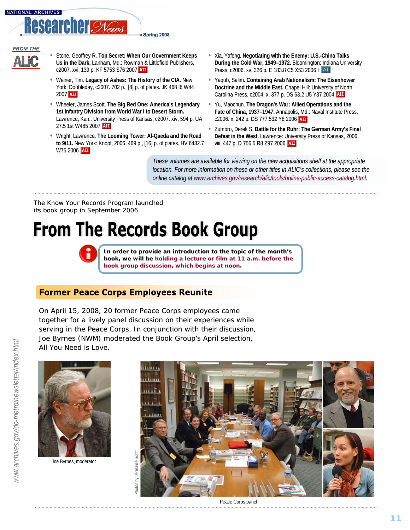

- **FROM THE**
- 
- Stone, Geoffrey R. Top Secret: When Our Government Keeps **Us in the Dark.** Lanham, Md.: Rowman & Littlefield Publishers, c2007. xvi, 139 p. KF 5753 S76 2007
- Weiner, Tim. Legacy of Ashes: The History of the CIA. New York: Doubleday, c2007. 702 p., [8] p. of plates. JK 468 I6 W44 2007 **AII**
- Wheeler, James Scott. The Big Red One: America's Legendary **1st Infantry Division from World War I to Desert Storm.** Lawrence, Kan.: University Press of Kansas, c2007. xiv, 594 p. UA 27.5 1st W485 2007
- Wright, Lawrence. The Looming Tower: Al-Qaeda and the Road to 9/11. New York: Knopf, 2006. 469 p., [16] p. of plates. HV 6432.7 W75 2006 **AII**
- Xia, Yafeng. Negotiating with the Enemy: U.S.-China Talks During the Cold War, 1949–1972. Bloomington: Indiana University Press, c2006. xv, 326 p. E 183.8 C5 X53 2006 I AT
- Yaqub, Salim. Containing Arab Nationalism: The Eisenhower **Doctrine and the Middle East.** Chapel Hill: University of North Carolina Press, c2004. x, 377 p. DS 63.2 U5 Y37 2004 AII
- Yu, Maochun. The Dragon's War: Allied Operations and the Fate of China, 1937–1947. Annapolis, Md.: Naval Institute Press, c2006. x, 242 p. DS 777.532 Y8 2006
- Zumbro, Derek S. Battle for the Ruhr: The German Army's Final Defeat in the West. Lawrence: University Press of Kansas, 2006. viii, 447 p. D 756.5 R8 Z97 2006 AII

*These volumes are available for viewing on the new acquisitions shelf at the appropriate location. For more information on these or other titles in ALIC's collections, please see the online catalog atine catalog at [www.archives.gov/research/alic/tools/online-public-access-catalog.html.](http://www.archives.gov/research/alic/tools/online-public-access-catalog.html)*

The *Know Your Records Program* launched its book group in September 2006.

# **From The Records Book Group**

In order to provide an introduction to the topic of the month's book, we will be holding a lecture or film at 11 a.m. before the **book group discussion, which begins at noon.**

### **Former Peace Corps Employees Reunite**

On April 15, 2008, 20 former Peace Corps employees came together for a lively panel discussion on their experiences while serving in the Peace Corps. In conjunction with their discussion, Joe Byrnes (NWM) moderated the Book Group's April selection, *All You Need is Love*.





Peace Corps panel